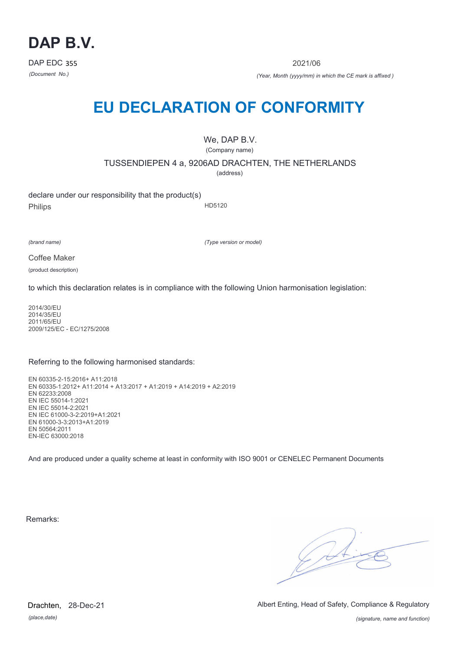

2021/06

*(Document No.) (Year, Month (yyyy/mm) in which the CE mark is affixed )*

# **EU DECLARATION OF CONFORMITY**

We, DAP B.V. (Company name)

TUSSENDIEPEN 4 a, 9206AD DRACHTEN, THE NETHERLANDS

(address)

declare under our responsibility that the product(s) Philips HD5120

*(brand name)*

*(Type version or model)*

Coffee Maker

(product description)

to which this declaration relates is in compliance with the following Union harmonisation legislation:

2014/30/EU 2014/35/EU 2011/65/EU 2009/125/EC - EC/1275/2008

## Referring to the following harmonised standards:

EN 60335-2-15:2016+ A11:2018 EN 60335-1:2012+ A11:2014 + A13:2017 + A1:2019 + A14:2019 + A2:2019 EN 62233:2008 EN IEC 55014-1:2021 EN IEC 55014-2:2021 EN IEC 61000-3-2:2019+A1:2021 EN 61000-3-3:2013+A1:2019 EN 50564:2011 EN-IEC 63000:2018

And are produced under a quality scheme at least in conformity with ISO 9001 or CENELEC Permanent Documents

Remarks:

 $\sqrt{24}$ 

*(place,date)* Drachten, 28-Dec-21 Albert Enting, Head of Safety, Compliance & Regulatory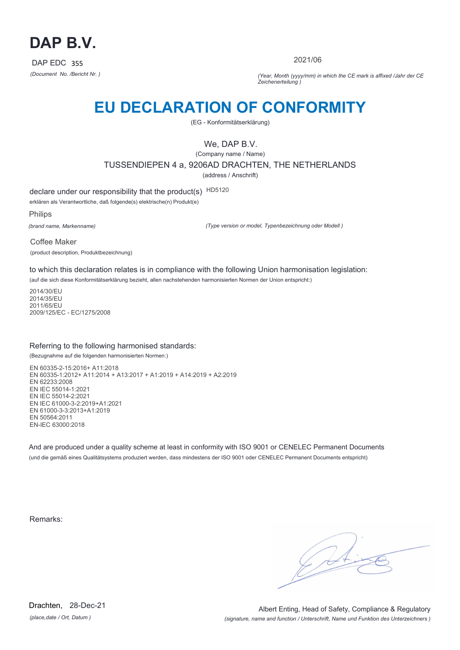

2021/06

*(Document No. /Bericht Nr. ) (Year, Month (yyyy/mm) in which the CE mark is affixed /Jahr der CE Zeichenerteilung )*

# **EU DECLARATION OF CONFORMITY**

(EG - Konformitätserklärung)

We, DAP B.V.

(Company name / Name) TUSSENDIEPEN 4 a, 9206AD DRACHTEN, THE NETHERLANDS (address / Anschrift)

declare under our responsibility that the product(s) HD5120

erklären als Verantwortliche, daß folgende(s) elektrische(n) Produkt(e)

Philips

*(brand name, Markenname)*

*(Type version or model, Typenbezeichnung oder Modell )*

Coffee Maker (product description, Produktbezeichnung)

to which this declaration relates is in compliance with the following Union harmonisation legislation:

(auf die sich diese Konformitätserklärung bezieht, allen nachstehenden harmonisierten Normen der Union entspricht:)

2014/30/EU 2014/35/EU 2011/65/EU 2009/125/EC - EC/1275/2008

## Referring to the following harmonised standards:

(Bezugnahme auf die folgenden harmonisierten Normen:)

EN 60335-2-15:2016+ A11:2018 EN 60335-1:2012+ A11:2014 + A13:2017 + A1:2019 + A14:2019 + A2:2019 EN 62233:2008 EN IEC 55014-1:2021 EN IEC 55014-2:2021 EN IEC 61000-3-2:2019+A1:2021 EN 61000-3-3:2013+A1:2019 EN 50564:2011 EN-IEC 63000:2018

And are produced under a quality scheme at least in conformity with ISO 9001 or CENELEC Permanent Documents (und die gemäß eines Qualitätsystems produziert werden, dass mindestens der ISO 9001 oder CENELEC Permanent Documents entspricht)

Remarks: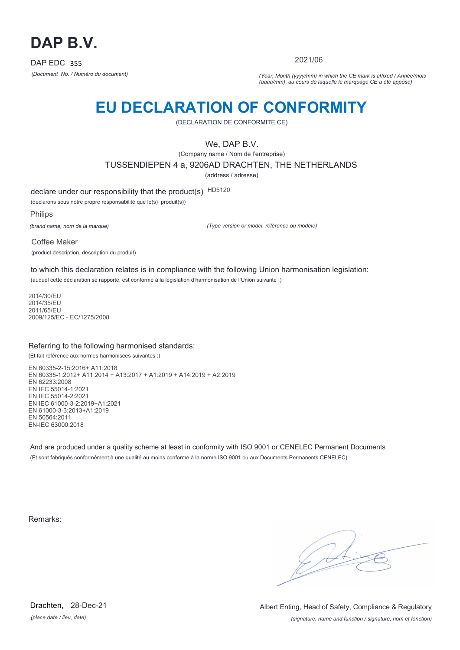

2021/06

*(Document No. / Numéro du document) (Year, Month (yyyy/mm) in which the CE mark is affixed / Année/mois (aaaa/mm) au cours de laquelle le marquage CE a été apposé)*

# **EU DECLARATION OF CONFORMITY**

(DECLARATION DE CONFORMITE CE)

We, DAP B.V.

(Company name / Nom de l'entreprise)

TUSSENDIEPEN 4 a, 9206AD DRACHTEN, THE NETHERLANDS

(address / adresse)

declare under our responsibility that the product(s) HD5120

(déclarons sous notre propre responsabilité que le(s) produit(s))

Philips

*(brand name, nom de la marque)*

*(Type version or model, référence ou modèle)*

Coffee Maker (product description, description du produit)

to which this declaration relates is in compliance with the following Union harmonisation legislation: (auquel cette déclaration se rapporte, est conforme à la législation d'harmonisation de l'Union suivante :)

2014/30/EU 2014/35/EU 2011/65/EU 2009/125/EC - EC/1275/2008

## Referring to the following harmonised standards:

(Et fait référence aux normes harmonisées suivantes :)

EN 60335-2-15:2016+ A11:2018 EN 60335-1:2012+ A11:2014 + A13:2017 + A1:2019 + A14:2019 + A2:2019 EN 62233:2008 EN IEC 55014-1:2021 EN IEC 55014-2:2021 EN IEC 61000-3-2:2019+A1:2021 EN 61000-3-3:2013+A1:2019 EN 50564:2011 EN-IEC 63000:2018

And are produced under a quality scheme at least in conformity with ISO 9001 or CENELEC Permanent Documents (Et sont fabriqués conformément à une qualité au moins conforme à la norme ISO 9001 ou aux Documents Permanents CENELEC)

Remarks:

*(place,date / lieu, date)* Drachten, 28-Dec-21

*(signature, name and function / signature, nom et fonction)* Albert Enting, Head of Safety, Compliance & Regulatory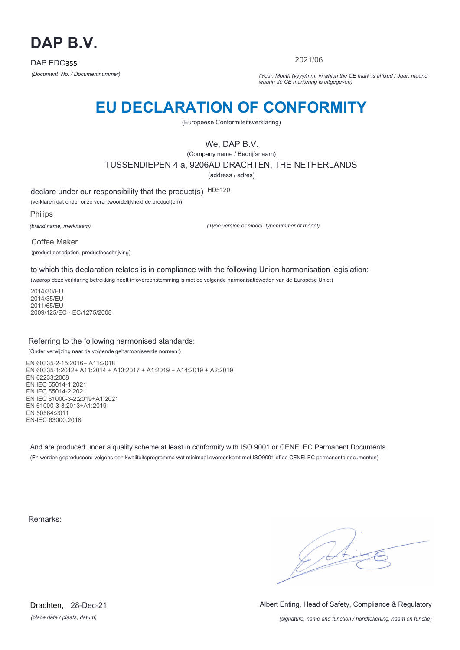

2021/06

*(Document No. / Documentnummer) (Year, Month (yyyy/mm) in which the CE mark is affixed / Jaar, maand waarin de CE markering is uitgegeven)*

# **EU DECLARATION OF CONFORMITY**

(Europeese Conformiteitsverklaring)

We, DAP B.V.

(Company name / Bedrijfsnaam) TUSSENDIEPEN 4 a, 9206AD DRACHTEN, THE NETHERLANDS

(address / adres)

declare under our responsibility that the product(s) HD5120

(verklaren dat onder onze verantwoordelijkheid de product(en))

Philips

*(brand name, merknaam)*

*(Type version or model, typenummer of model)*

Coffee Maker (product description, productbeschrijving)

to which this declaration relates is in compliance with the following Union harmonisation legislation:

(waarop deze verklaring betrekking heeft in overeenstemming is met de volgende harmonisatiewetten van de Europese Unie:)

2014/30/EU 2014/35/EU 2011/65/EU 2009/125/EC - EC/1275/2008

## Referring to the following harmonised standards:

(Onder verwijzing naar de volgende geharmoniseerde normen:)

EN 60335-2-15:2016+ A11:2018 EN 60335-1:2012+ A11:2014 + A13:2017 + A1:2019 + A14:2019 + A2:2019 EN 62233:2008 EN IEC 55014-1:2021 EN IEC 55014-2:2021 EN IEC 61000-3-2:2019+A1:2021 EN 61000-3-3:2013+A1:2019 EN 50564:2011 EN-IEC 63000:2018

And are produced under a quality scheme at least in conformity with ISO 9001 or CENELEC Permanent Documents (En worden geproduceerd volgens een kwaliteitsprogramma wat minimaal overeenkomt met ISO9001 of de CENELEC permanente documenten)

Remarks:

 $\sqrt{14}$ 

*(place,date / plaats, datum)* Drachten, 28-Dec-21 Albert Enting, Head of Safety, Compliance & Regulatory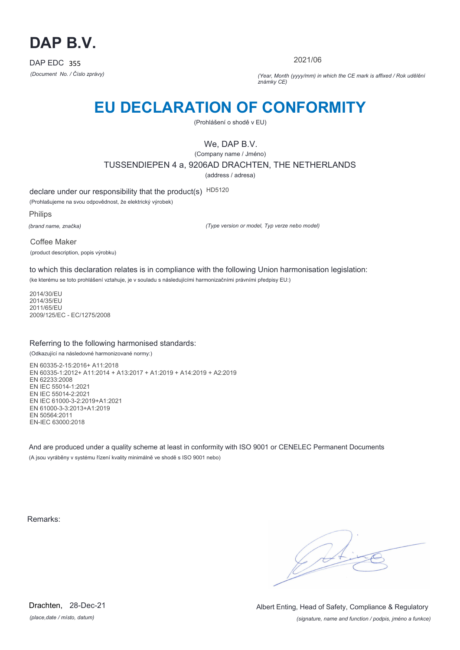

2021/06

*(Document No. / Číslo zprávy) (Year, Month (yyyy/mm) in which the CE mark is affixed / Rok udělění známky CE)*

# **EU DECLARATION OF CONFORMITY**

(Prohlášení o shodě v EU)

We, DAP B.V.

(Company name / Jméno) TUSSENDIEPEN 4 a, 9206AD DRACHTEN, THE NETHERLANDS (address / adresa)

declare under our responsibility that the product(s) HD5120

(Prohlašujeme na svou odpovědnost, že elektrický výrobek)

Philips

*(brand name, značka)*

*(Type version or model, Typ verze nebo model)*

Coffee Maker (product description, popis výrobku)

to which this declaration relates is in compliance with the following Union harmonisation legislation:

(ke kterému se toto prohlášení vztahuje, je v souladu s následujícími harmonizačními právními předpisy EU:)

2014/30/EU 2014/35/EU 2011/65/EU 2009/125/EC - EC/1275/2008

## Referring to the following harmonised standards:

(Odkazující na následovné harmonizované normy:)

EN 60335-2-15:2016+ A11:2018 EN 60335-1:2012+ A11:2014 + A13:2017 + A1:2019 + A14:2019 + A2:2019 EN 62233:2008 EN IEC 55014-1:2021 EN IEC 55014-2:2021 EN IEC 61000-3-2:2019+A1:2021 EN 61000-3-3:2013+A1:2019 EN 50564:2011 EN-IEC 63000:2018

And are produced under a quality scheme at least in conformity with ISO 9001 or CENELEC Permanent Documents (A jsou vyráběny v systému řízení kvality minimálně ve shodě s ISO 9001 nebo)

Remarks:

 $\sqrt{1}$ 

*(place,date / místo, datum)* Drachten, 28-Dec-21

*(signature, name and function / podpis, jméno a funkce)* Albert Enting, Head of Safety, Compliance & Regulatory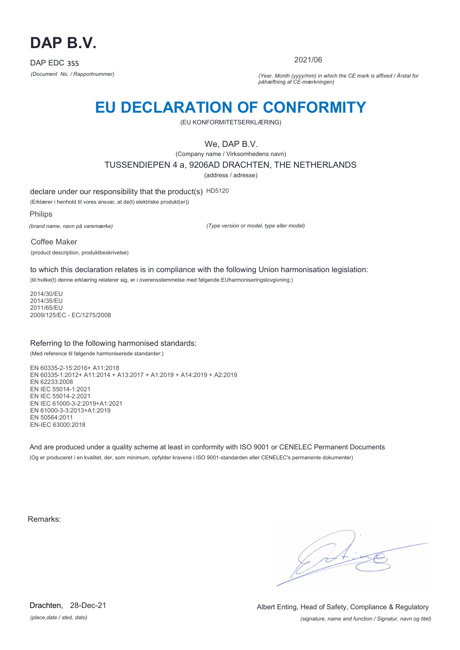

2021/06

*(Document No. / Rapportnummer) (Year, Month (yyyy/mm) in which the CE mark is affixed / Årstal for påhæftning af CE-mærkningen)*

# **EU DECLARATION OF CONFORMITY**

(EU KONFORMITETSERKLÆRING)

We, DAP B.V.

(Company name / Virksomhedens navn) TUSSENDIEPEN 4 a, 9206AD DRACHTEN, THE NETHERLANDS

(address / adresse)

declare under our responsibility that the product(s) HD5120

(Erklærer i henhold til vores ansvar, at de(t) elektriske produkt(er))

Philips

*(brand name, navn på varemærke)*

*(Type version or model, type eller model)*

Coffee Maker (product description, produktbeskrivelse)

to which this declaration relates is in compliance with the following Union harmonisation legislation: (til hvilke(t) denne erklæring relaterer sig, er i overensstemmelse med følgende EUharmoniseringslovgivning:)

2014/30/EU 2014/35/EU 2011/65/EU 2009/125/EC - EC/1275/2008

## Referring to the following harmonised standards:

(Med reference til følgende harmoniserede standarder:)

EN 60335-2-15:2016+ A11:2018 EN 60335-1:2012+ A11:2014 + A13:2017 + A1:2019 + A14:2019 + A2:2019 EN 62233:2008 EN IEC 55014-1:2021 EN IEC 55014-2:2021 EN IEC 61000-3-2:2019+A1:2021 EN 61000-3-3:2013+A1:2019 EN 50564:2011 EN-IEC 63000:2018

And are produced under a quality scheme at least in conformity with ISO 9001 or CENELEC Permanent Documents (Og er produceret i en kvalitet, der, som minimum, opfylder kravene i ISO 9001-standarden eller CENELEC's permanente dokumenter)

Remarks:

 $\sqrt{4}$ 

*(place,date / sted, dato)* Drachten, 28-Dec-21

*(signature, name and function / Signatur, navn og titel)* Albert Enting, Head of Safety, Compliance & Regulatory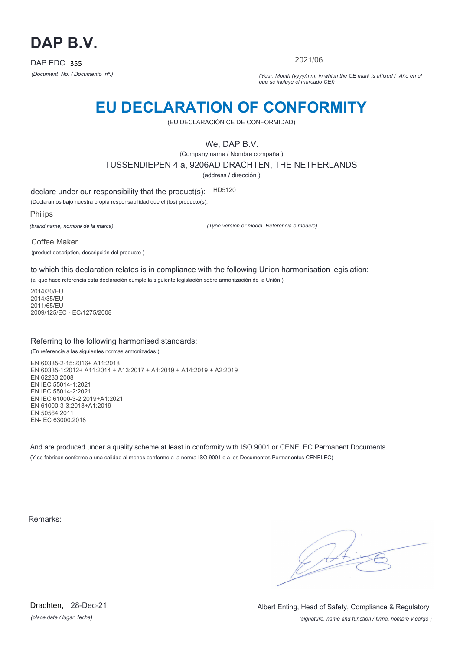

2021/06

*(Document No. / Documento nº.) (Year, Month (yyyy/mm) in which the CE mark is affixed / Año en el que se incluye el marcado CE))*

## **EU DECLARATION OF CONFORMITY**

(EU DECLARACIÓN CE DE CONFORMIDAD)

We, DAP B.V.

(Company name / Nombre compaña )

TUSSENDIEPEN 4 a, 9206AD DRACHTEN, THE NETHERLANDS

(address / dirección )

declare under our responsibility that the product(s): HD5120

(Declaramos bajo nuestra propia responsabilidad que el (los) producto(s):

Philips

*(brand name, nombre de la marca)*

*(Type version or model, Referencia o modelo)*

Coffee Maker (product description, descripción del producto )

to which this declaration relates is in compliance with the following Union harmonisation legislation:

(al que hace referencia esta declaración cumple la siguiente legislación sobre armonización de la Unión:)

2014/30/EU 2014/35/EU 2011/65/EU 2009/125/EC - EC/1275/2008

## Referring to the following harmonised standards:

(En referencia a las siguientes normas armonizadas:)

EN 60335-2-15:2016+ A11:2018 EN 60335-1:2012+ A11:2014 + A13:2017 + A1:2019 + A14:2019 + A2:2019 EN 62233:2008 EN IEC 55014-1:2021 EN IEC 55014-2:2021 EN IEC 61000-3-2:2019+A1:2021 EN 61000-3-3:2013+A1:2019 EN 50564:2011 EN-IEC 63000:2018

And are produced under a quality scheme at least in conformity with ISO 9001 or CENELEC Permanent Documents (Y se fabrican conforme a una calidad al menos conforme a la norma ISO 9001 o a los Documentos Permanentes CENELEC)

Remarks:

*(place,date / lugar, fecha)* Drachten, 28-Dec-21

*(signature, name and function / firma, nombre y cargo )* Albert Enting, Head of Safety, Compliance & Regulatory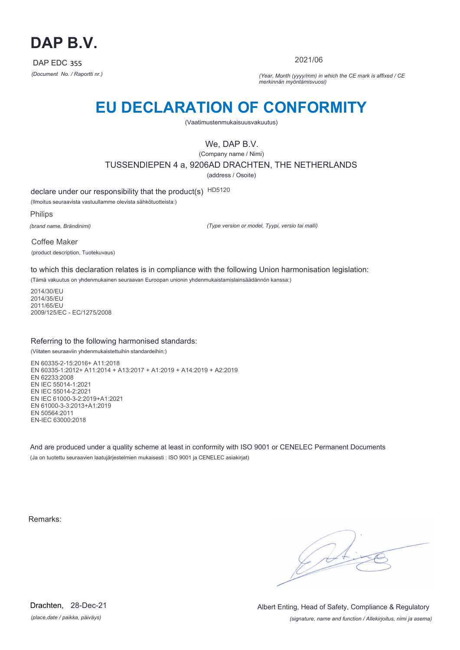

2021/06

*(Document No. / Raportti nr.) (Year, Month (yyyy/mm) in which the CE mark is affixed / CE merkinnän myöntämisvuosi)*

# **EU DECLARATION OF CONFORMITY**

(Vaatimustenmukaisuusvakuutus)

We, DAP B.V.

(Company name / Nimi) TUSSENDIEPEN 4 a, 9206AD DRACHTEN, THE NETHERLANDS (address / Osoite)

declare under our responsibility that the product(s) HD5120

(Ilmoitus seuraavista vastuullamme olevista sähkötuotteista:)

Philips

*(brand name, Brändinimi)*

*(Type version or model, Tyypi, versio tai malli)*

Coffee Maker (product description, Tuotekuvaus)

to which this declaration relates is in compliance with the following Union harmonisation legislation:

(Tämä vakuutus on yhdenmukainen seuraavan Euroopan unionin yhdenmukaistamislainsäädännön kanssa:)

2014/30/EU 2014/35/EU 2011/65/EU 2009/125/EC - EC/1275/2008

## Referring to the following harmonised standards:

(Viitaten seuraaviin yhdenmukaistettuihin standardeihin:)

EN 60335-2-15:2016+ A11:2018 EN 60335-1:2012+ A11:2014 + A13:2017 + A1:2019 + A14:2019 + A2:2019 EN 62233:2008 EN IEC 55014-1:2021 EN IEC 55014-2:2021 EN IEC 61000-3-2:2019+A1:2021 EN 61000-3-3:2013+A1:2019 EN 50564:2011 EN-IEC 63000:2018

And are produced under a quality scheme at least in conformity with ISO 9001 or CENELEC Permanent Documents (Ja on tuotettu seuraavien laatujärjestelmien mukaisesti : ISO 9001 ja CENELEC asiakirjat)

Remarks:

 $\sqrt{11}$ 

*(place,date / paikka, päiväys)* Drachten, 28-Dec-21

*(signature, name and function / Allekirjoitus, nimi ja asema)* Albert Enting, Head of Safety, Compliance & Regulatory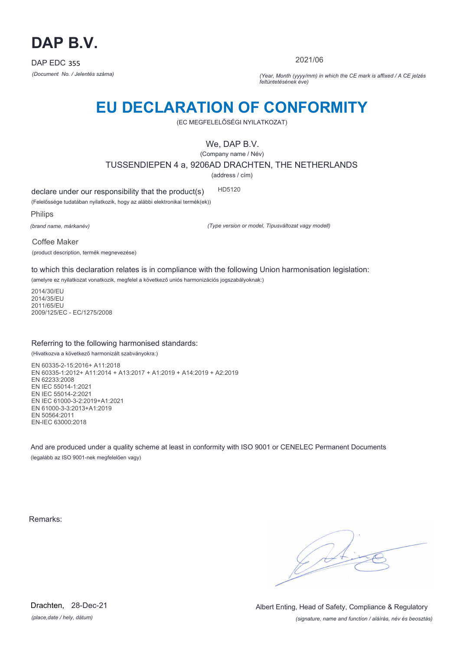

2021/06

*(Document No. / Jelentés száma) (Year, Month (yyyy/mm) in which the CE mark is affixed / A CE jelzés feltüntetésének éve)*

# **EU DECLARATION OF CONFORMITY**

(EC MEGFELELŐSÉGI NYILATKOZAT)

We, DAP B.V.

(Company name / Név)

TUSSENDIEPEN 4 a, 9206AD DRACHTEN, THE NETHERLANDS

(address / cím)

declare under our responsibility that the product(s) HD5120

(Felelőssége tudatában nyilatkozik, hogy az alábbi elektronikai termék(ek))

Philips

*(brand name, márkanév)*

*(Type version or model, Típusváltozat vagy modell)*

Coffee Maker (product description, termék megnevezése)

to which this declaration relates is in compliance with the following Union harmonisation legislation:

(amelyre ez nyilatkozat vonatkozik, megfelel a következő uniós harmonizációs jogszabályoknak:)

2014/30/EU 2014/35/EU 2011/65/EU 2009/125/EC - EC/1275/2008

## Referring to the following harmonised standards:

(Hivatkozva a következő harmonizált szabványokra:)

EN 60335-2-15:2016+ A11:2018 EN 60335-1:2012+ A11:2014 + A13:2017 + A1:2019 + A14:2019 + A2:2019 EN 62233:2008 EN IEC 55014-1:2021 EN IEC 55014-2:2021 EN IEC 61000-3-2:2019+A1:2021 EN 61000-3-3:2013+A1:2019 EN 50564:2011 EN-IEC 63000:2018

And are produced under a quality scheme at least in conformity with ISO 9001 or CENELEC Permanent Documents (legalább az ISO 9001-nek megfelelően vagy)

Remarks:

 $\sqrt{11}$ 

*(place,date / hely, dátum)* Drachten, 28-Dec-21

*(signature, name and function / aláírás, név és beosztás)* Albert Enting, Head of Safety, Compliance & Regulatory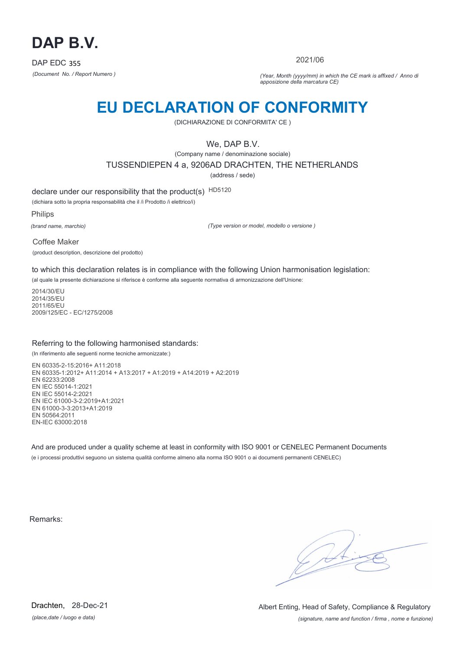

2021/06

*(Document No. / Report Numero ) (Year, Month (yyyy/mm) in which the CE mark is affixed / Anno di apposizione della marcatura CE)*

## **EU DECLARATION OF CONFORMITY**

(DICHIARAZIONE DI CONFORMITA' CE )

We, DAP B.V.

(Company name / denominazione sociale)

TUSSENDIEPEN 4 a, 9206AD DRACHTEN, THE NETHERLANDS

(address / sede)

declare under our responsibility that the product(s) HD5120

(dichiara sotto la propria responsabilità che il /i Prodotto /i elettrico/i)

Philips

*(brand name, marchio)*

*(Type version or model, modello o versione )*

Coffee Maker

(product description, descrizione del prodotto)

to which this declaration relates is in compliance with the following Union harmonisation legislation:

(al quale la presente dichiarazione si riferisce è conforme alla seguente normativa di armonizzazione dell'Unione:

2014/30/EU 2014/35/EU 2011/65/EU 2009/125/EC - EC/1275/2008

## Referring to the following harmonised standards:

(In riferimento alle seguenti norme tecniche armonizzate:)

EN 60335-2-15:2016+ A11:2018 EN 60335-1:2012+ A11:2014 + A13:2017 + A1:2019 + A14:2019 + A2:2019 EN 62233:2008 EN IEC 55014-1:2021 EN IEC 55014-2:2021 EN IEC 61000-3-2:2019+A1:2021 EN 61000-3-3:2013+A1:2019 EN 50564:2011 EN-IEC 63000:2018

And are produced under a quality scheme at least in conformity with ISO 9001 or CENELEC Permanent Documents (e i processi produttivi seguono un sistema qualità conforme almeno alla norma ISO 9001 o ai documenti permanenti CENELEC)

Remarks:

 $\sqrt{11}$ 

*(place,date / luogo e data)* Drachten, 28-Dec-21

*(signature, name and function / firma , nome e funzione)* Albert Enting, Head of Safety, Compliance & Regulatory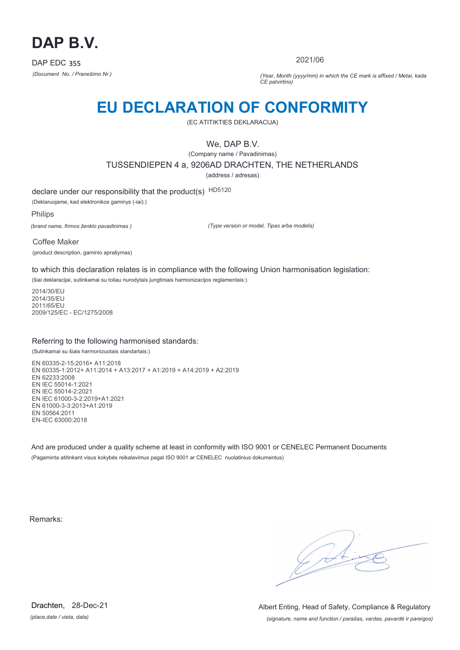

2021/06

*(Document No. / Pranešimo Nr.) (Year, Month (yyyy/mm) in which the CE mark is affixed / Metai, kada CE patvirtino)*

## **EU DECLARATION OF CONFORMITY**

(EC ATITIKTIES DEKLARACIJA)

We, DAP B.V.

(Company name / Pavadinimas) TUSSENDIEPEN 4 a, 9206AD DRACHTEN, THE NETHERLANDS

(address / adresas)

declare under our responsibility that the product(s) HD5120

(Deklaruojame, kad elektronikos gaminys (-iai):)

Philips

*(brand name, firmos ženklo pavadinimas )*

*(Type version or model, Tipas arba modelis)*

Coffee Maker (product description, gaminio aprašymas)

to which this declaration relates is in compliance with the following Union harmonisation legislation:

(šiai deklaracijai, sutinkamai su toliau nurodytais jungtiniais harmonizacijos reglamentais:)

2014/30/EU 2014/35/EU 2011/65/EU 2009/125/EC - EC/1275/2008

## Referring to the following harmonised standards:

(Sutinkamai su šiais harmonizuotais standartais:)

EN 60335-2-15:2016+ A11:2018 EN 60335-1:2012+ A11:2014 + A13:2017 + A1:2019 + A14:2019 + A2:2019 EN 62233:2008 EN IEC 55014-1:2021 EN IEC 55014-2:2021 EN IEC 61000-3-2:2019+A1:2021 EN 61000-3-3:2013+A1:2019 EN 50564:2011 EN-IEC 63000:2018

And are produced under a quality scheme at least in conformity with ISO 9001 or CENELEC Permanent Documents (Pagaminta atitinkant visus kokybės reikalavimus pagal ISO 9001 ar CENELEC nuolatinius dokumentus)

Remarks:

 $\sqrt{14}$ 

*(place,date / vieta, data)* Drachten, 28-Dec-21

*(signature, name and function / parašas, vardas, pavardė ir pareigos)* Albert Enting, Head of Safety, Compliance & Regulatory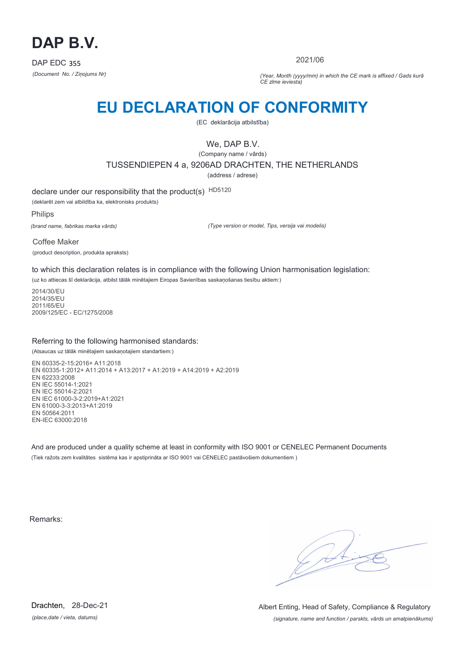

2021/06

*(Document No. / Ziņojums Nr) (Year, Month (yyyy/mm) in which the CE mark is affixed / Gads kurā CE zīme ieviesta)*

# **EU DECLARATION OF CONFORMITY**

(EC deklarācija atbilstība)

We, DAP B.V.

(Company name / vārds) TUSSENDIEPEN 4 a, 9206AD DRACHTEN, THE NETHERLANDS

(address / adrese)

declare under our responsibility that the product(s) HD5120

(deklarēt zem vai atbildība ka, elektronisks produkts)

Philips

*(brand name, fabrikas marka vārds)*

*(Type version or model, Tips, versija vai modelis)*

Coffee Maker (product description, produkta apraksts)

to which this declaration relates is in compliance with the following Union harmonisation legislation:

(uz ko attiecas šī deklarācija, atbilst tālāk minētajiem Eiropas Savienības saskaņošanas tiesību aktiem:)

2014/30/EU 2014/35/EU 2011/65/EU 2009/125/EC - EC/1275/2008

## Referring to the following harmonised standards:

(Atsaucas uz tālāk minētajiem saskaņotajiem standartiem:)

EN 60335-2-15:2016+ A11:2018 EN 60335-1:2012+ A11:2014 + A13:2017 + A1:2019 + A14:2019 + A2:2019 EN 62233:2008 EN IEC 55014-1:2021 EN IEC 55014-2:2021 EN IEC 61000-3-2:2019+A1:2021 EN 61000-3-3:2013+A1:2019 EN 50564:2011 EN-IEC 63000:2018

And are produced under a quality scheme at least in conformity with ISO 9001 or CENELEC Permanent Documents (Tiek ražots zem kvalitātes sistēma kas ir apstiprināta ar ISO 9001 vai CENELEC pastāvošiem dokumentiem )

Remarks:

 $\sqrt{11}$ 

*(place,date / vieta, datums)* Drachten, 28-Dec-21

*(signature, name and function / parskts, vārds un amatpienākums)* Albert Enting, Head of Safety, Compliance & Regulatory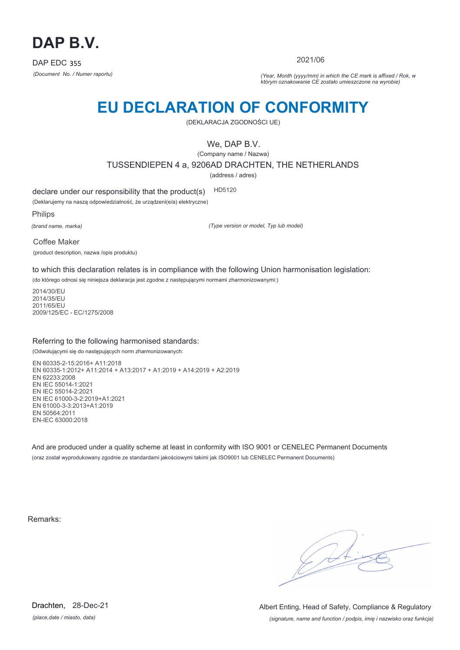

2021/06

*(Document No. / Numer raportu) (Year, Month (yyyy/mm) in which the CE mark is affixed / Rok, w którym oznakowanie CE zostało umieszczone na wyrobie)*

# **EU DECLARATION OF CONFORMITY**

(DEKLARACJA ZGODNOŚCI UE)

We, DAP B.V.

(Company name / Nazwa) TUSSENDIEPEN 4 a, 9206AD DRACHTEN, THE NETHERLANDS

(address / adres)

declare under our responsibility that the product(s) HD5120

(Deklarujemy na naszą odpowiedzialność, że urządzeni(e/a) elektryczne)

Philips

*(brand name, marka)*

*(Type version or model, Typ lub model)*

Coffee Maker

(product description, nazwa /opis produktu)

to which this declaration relates is in compliance with the following Union harmonisation legislation:

(do którego odnosi się niniejsza deklaracja jest zgodne z następującymi normami zharmonizowanymi:)

2014/30/EU 2014/35/EU 2011/65/EU 2009/125/EC - EC/1275/2008

## Referring to the following harmonised standards:

(Odwołującymi się do następujących norm zharmonizowanych:

EN 60335-2-15:2016+ A11:2018 EN 60335-1:2012+ A11:2014 + A13:2017 + A1:2019 + A14:2019 + A2:2019 EN 62233:2008 EN IEC 55014-1:2021 EN IEC 55014-2:2021 EN IEC 61000-3-2:2019+A1:2021 EN 61000-3-3:2013+A1:2019 EN 50564:2011 EN-IEC 63000:2018

And are produced under a quality scheme at least in conformity with ISO 9001 or CENELEC Permanent Documents (oraz został wyprodukowany zgodnie ze standardami jakościowymi takimi jak ISO9001 lub CENELEC Permanent Documents)

Remarks:

*(place,date / miasto, data)* Drachten, 28-Dec-21

*(signature, name and function / podpis, imię i nazwisko oraz funkcja)* Albert Enting, Head of Safety, Compliance & Regulatory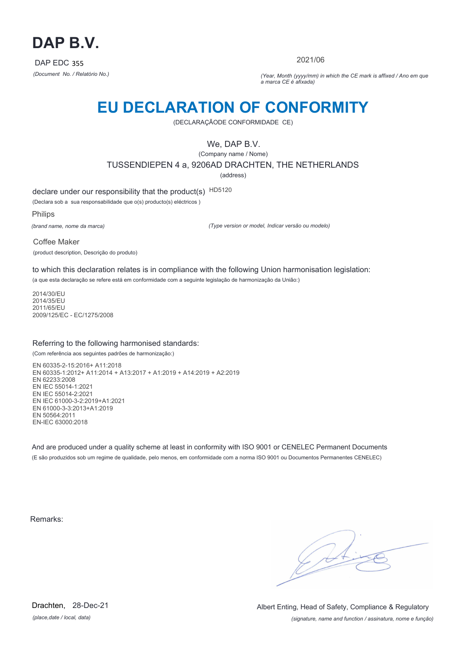

2021/06

*(Document No. / Relatório No.) (Year, Month (yyyy/mm) in which the CE mark is affixed / Ano em que a marca CE é afixada)*

## **EU DECLARATION OF CONFORMITY**

(DECLARAÇÃODE CONFORMIDADE CE)

We, DAP B.V.

(Company name / Nome) TUSSENDIEPEN 4 a, 9206AD DRACHTEN, THE NETHERLANDS (address)

declare under our responsibility that the product(s) HD5120

(Declara sob a sua responsabilidade que o(s) producto(s) eléctricos )

Philips

*(brand name, nome da marca)*

*(Type version or model, Indicar versão ou modelo)*

Coffee Maker (product description, Descrição do produto)

to which this declaration relates is in compliance with the following Union harmonisation legislation: (a que esta declaração se refere está em conformidade com a seguinte legislação de harmonização da União:)

2014/30/EU 2014/35/EU 2011/65/EU 2009/125/EC - EC/1275/2008

## Referring to the following harmonised standards:

(Com referência aos seguintes padrões de harmonização:)

EN 60335-2-15:2016+ A11:2018 EN 60335-1:2012+ A11:2014 + A13:2017 + A1:2019 + A14:2019 + A2:2019 EN 62233:2008 EN IEC 55014-1:2021 EN IEC 55014-2:2021 EN IEC 61000-3-2:2019+A1:2021 EN 61000-3-3:2013+A1:2019 EN 50564:2011 EN-IEC 63000:2018

And are produced under a quality scheme at least in conformity with ISO 9001 or CENELEC Permanent Documents (E são produzidos sob um regime de qualidade, pelo menos, em conformidade com a norma ISO 9001 ou Documentos Permanentes CENELEC)

Remarks:

 $\sqrt{14}$ 

*(place,date / local, data)* Drachten, 28-Dec-21

*(signature, name and function / assinatura, nome e função)* Albert Enting, Head of Safety, Compliance & Regulatory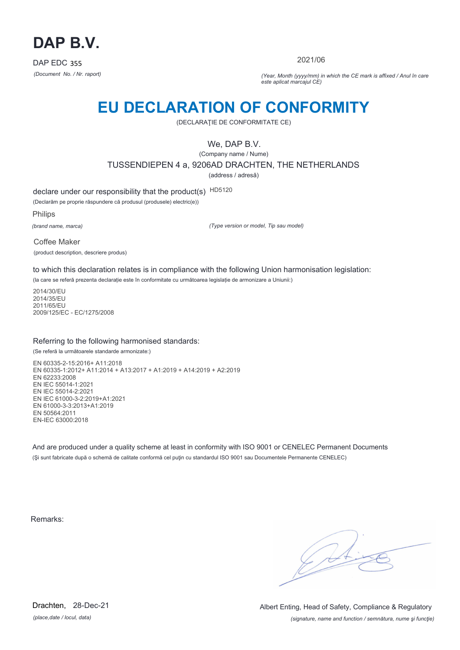

2021/06

*(Document No. / Nr. raport) (Year, Month (yyyy/mm) in which the CE mark is affixed / Anul în care este aplicat marcajul CE)*

## **EU DECLARATION OF CONFORMITY**

(DECLARAŢIE DE CONFORMITATE CE)

We, DAP B.V.

(Company name / Nume)

TUSSENDIEPEN 4 a, 9206AD DRACHTEN, THE NETHERLANDS

(address / adresă)

declare under our responsibility that the product(s) HD5120

(Declarăm pe proprie răspundere că produsul (produsele) electric(e))

Philips

*(brand name, marca)*

*(Type version or model, Tip sau model)*

Coffee Maker

(product description, descriere produs)

to which this declaration relates is in compliance with the following Union harmonisation legislation:

(la care se referă prezenta declarație este în conformitate cu următoarea legislație de armonizare a Uniunii:)

2014/30/EU 2014/35/EU 2011/65/EU 2009/125/EC - EC/1275/2008

## Referring to the following harmonised standards:

(Se referă la următoarele standarde armonizate:)

EN 60335-2-15:2016+ A11:2018 EN 60335-1:2012+ A11:2014 + A13:2017 + A1:2019 + A14:2019 + A2:2019 EN 62233:2008 EN IEC 55014-1:2021 EN IEC 55014-2:2021 EN IEC 61000-3-2:2019+A1:2021 EN 61000-3-3:2013+A1:2019 EN 50564:2011 EN-IEC 63000:2018

And are produced under a quality scheme at least in conformity with ISO 9001 or CENELEC Permanent Documents (Şi sunt fabricate după o schemă de calitate conformă cel puţin cu standardul ISO 9001 sau Documentele Permanente CENELEC)

Remarks:

*(place,date / locul, data)* Drachten, 28-Dec-21

*(signature, name and function / semnătura, nume şi funcţie)* Albert Enting, Head of Safety, Compliance & Regulatory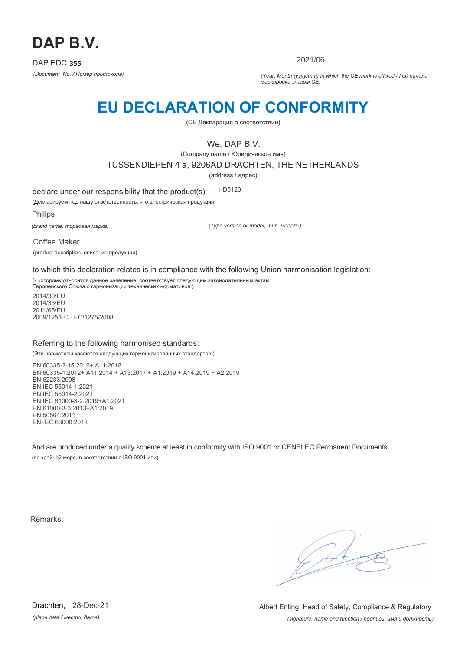

2021/06

*(Document No. / Номер протокола) (Year, Month (yyyy/mm) in which the CE mark is affixed / Год начала маркировки знаком CE)*

# **EU DECLARATION OF CONFORMITY**

(CE Декларация о соответствии)

We, DAP B.V.

(Company name / Юридическое имя)

TUSSENDIEPEN 4 a, 9206AD DRACHTEN, THE NETHERLANDS

(address / адрес)

declare under our responsibility that the product(s): HD5120

(Декларируем под нашу ответственность, что электрическая продукция

Philips

*(brand name, торговая марка)*

*(Type version or model, тип, модель)*

Coffee Maker (product description, описание продукции)

to which this declaration relates is in compliance with the following Union harmonisation legislation:

(к которому относится данное заявление, соответствует следующим законодательным актам Европейского Союза о гармонизации технических нормативов:)

2014/30/EU 2014/35/EU 2011/65/EU 2009/125/EC - EC/1275/2008

## Referring to the following harmonised standards:

(Эти нормативы касаются следующих гармонизированных стандартов:)

EN 60335-2-15:2016+ A11:2018 EN 60335-1:2012+ A11:2014 + A13:2017 + A1:2019 + A14:2019 + A2:2019 EN 62233:2008 EN IEC 55014-1:2021 EN IEC 55014-2:2021 EN IEC 61000-3-2:2019+A1:2021 EN 61000-3-3:2013+A1:2019 EN 50564:2011 EN-IEC 63000:2018

And are produced under a quality scheme at least in conformity with ISO 9001 or CENELEC Permanent Documents (по крайней мере, в соответствии с ISO 9001 или)

Remarks:

 $\sqrt{11}$ 

*(place,date / место, дата)* Drachten, 28-Dec-21

*(signature, name and function / подпись, имя и должность)* Albert Enting, Head of Safety, Compliance & Regulatory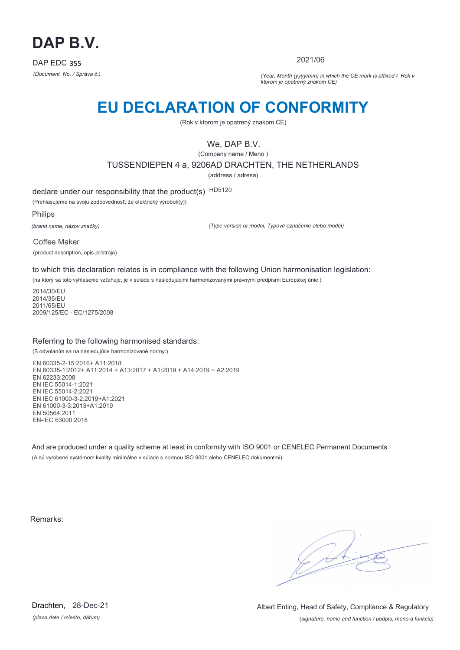

2021/06

*(Document No. / Správa č.) (Year, Month (yyyy/mm) in which the CE mark is affixed / Rok v ktorom je opatrený znakom CE)*

## **EU DECLARATION OF CONFORMITY**

(Rok v ktorom je opatrený znakom CE)

We, DAP B.V.

(Company name / Meno ) TUSSENDIEPEN 4 a, 9206AD DRACHTEN, THE NETHERLANDS

(address / adresa)

declare under our responsibility that the product(s) HD5120

(Prehlasujeme na svoju zodpovednosť, že elektrický výrobok(y))

Philips

*(brand name, názov značky)*

*(Type version or model, Typové označenie alebo model)*

Coffee Maker (product description, opis prístroja)

to which this declaration relates is in compliance with the following Union harmonisation legislation:

(na ktorý sa toto vyhlásenie vzťahuje, je v súlade s nasledujúcimi harmonizovanými právnymi predpismi Európskej únie:)

2014/30/EU 2014/35/EU 2011/65/EU 2009/125/EC - EC/1275/2008

## Referring to the following harmonised standards:

(S odvolaním sa na nasledujúce harmonizované normy:)

EN 60335-2-15:2016+ A11:2018 EN 60335-1:2012+ A11:2014 + A13:2017 + A1:2019 + A14:2019 + A2:2019 EN 62233:2008 EN IEC 55014-1:2021 EN IEC 55014-2:2021 EN IEC 61000-3-2:2019+A1:2021 EN 61000-3-3:2013+A1:2019 EN 50564:2011 EN-IEC 63000:2018

And are produced under a quality scheme at least in conformity with ISO 9001 or CENELEC Permanent Documents (A sú vyrobené systémom kvality minimálne v súlade s normou ISO 9001 alebo CENELEC dokumentmi)

Remarks:

 $\sqrt{11}$ 

*(place,date / miesto, dátum)* Drachten, 28-Dec-21

*(signature, name and function / podpis, meno a funkcia)* Albert Enting, Head of Safety, Compliance & Regulatory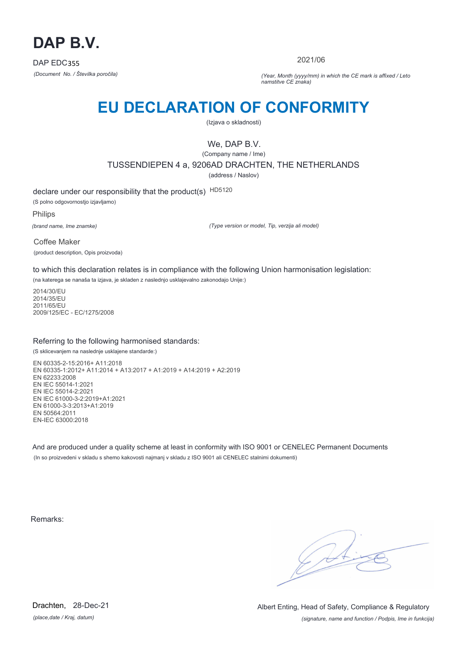

2021/06

*(Document No. / Številka poročila) (Year, Month (yyyy/mm) in which the CE mark is affixed / Leto namstitve CE znaka)*

# **EU DECLARATION OF CONFORMITY**

(Izjava o skladnosti)

## We, DAP B.V.

(Company name / Ime)

TUSSENDIEPEN 4 a, 9206AD DRACHTEN, THE NETHERLANDS

(address / Naslov)

declare under our responsibility that the product(s) HD5120 (S polno odgovornostjo izjavljamo)

Philips

*(brand name, Ime znamke)*

*(Type version or model, Tip, verzija ali model)*

Coffee Maker (product description, Opis proizvoda)

to which this declaration relates is in compliance with the following Union harmonisation legislation:

(na katerega se nanaša ta izjava, je skladen z naslednjo usklajevalno zakonodajo Unije:)

2014/30/EU 2014/35/EU 2011/65/EU 2009/125/EC - EC/1275/2008

## Referring to the following harmonised standards:

(S sklicevanjem na naslednje usklajene standarde:)

EN 60335-2-15:2016+ A11:2018 EN 60335-1:2012+ A11:2014 + A13:2017 + A1:2019 + A14:2019 + A2:2019 EN 62233:2008 EN IEC 55014-1:2021 EN IEC 55014-2:2021 EN IEC 61000-3-2:2019+A1:2021 EN 61000-3-3:2013+A1:2019 EN 50564:2011 EN-IEC 63000:2018

And are produced under a quality scheme at least in conformity with ISO 9001 or CENELEC Permanent Documents (In so proizvedeni v skladu s shemo kakovosti najmanj v skladu z ISO 9001 ali CENELEC stalnimi dokumenti)

Remarks:

 $\sqrt{14}$ 

*(place,date / Kraj, datum)* Drachten, 28-Dec-21

*(signature, name and function / Podpis, Ime in funkcija)* Albert Enting, Head of Safety, Compliance & Regulatory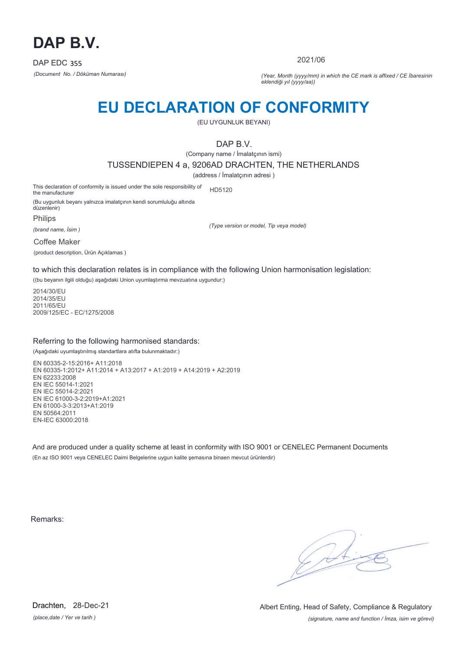

2021/06

*(Document No. / Döküman Numarası) (Year, Month (yyyy/mm) in which the CE mark is affixed / CE İbaresinin eklendiği yıl (yyyy/aa))*

## **EU DECLARATION OF CONFORMITY**

(EU UYGUNLUK BEYANI)

DAP B.V.

(Company name / İmalatçının ismi)

TUSSENDIEPEN 4 a, 9206AD DRACHTEN, THE NETHERLANDS

(address / İmalatçının adresi )

This declaration of conformity is issued under the sole responsibility of the manufacturer HD5120

(Bu uygunluk beyanı yalnızca imalatçının kendi sorumluluğu altında düzenlenir)

Philips

*(brand name, İsim )*

*(Type version or model, Tip veya model)*

Coffee Maker

(product description, Ürün Açıklamas )

to which this declaration relates is in compliance with the following Union harmonisation legislation:

((bu beyanın ilgili olduğu) aşağıdaki Union uyumlaştırma mevzuatına uygundur:)

2014/30/EU 2014/35/EU 2011/65/EU 2009/125/EC - EC/1275/2008

## Referring to the following harmonised standards:

(Aşağıdaki uyumlaştırılmış standartlara atıfta bulunmaktadır:)

EN 60335-2-15:2016+ A11:2018 EN 60335-1:2012+ A11:2014 + A13:2017 + A1:2019 + A14:2019 + A2:2019 EN 62233:2008 EN IEC 55014-1:2021 EN IEC 55014-2:2021 EN IEC 61000-3-2:2019+A1:2021 EN 61000-3-3:2013+A1:2019 EN 50564:2011 EN-IEC 63000:2018

And are produced under a quality scheme at least in conformity with ISO 9001 or CENELEC Permanent Documents (En az ISO 9001 veya CENELEC Daimi Belgelerine uygun kalite şemasına binaen mevcut ürünlerdir)

Remarks:

 $\sqrt{14}$ 

*(place,date / Yer ve tarih )* Drachten, 28-Dec-21

*(signature, name and function / İmza, isim ve görevi)* Albert Enting, Head of Safety, Compliance & Regulatory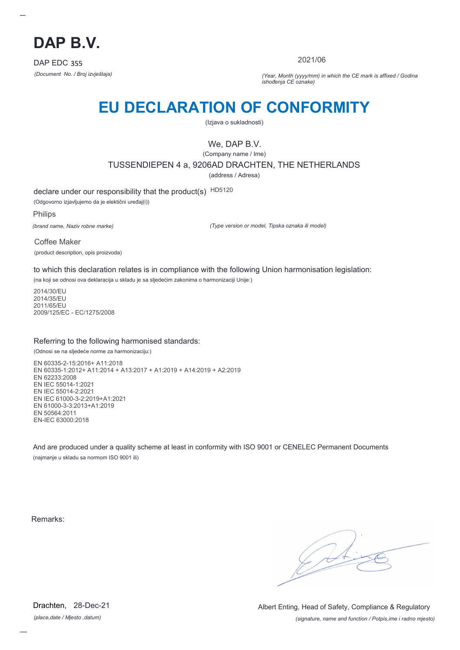

2021/06

*(Document No. / Broj izvještaja) (Year, Month (yyyy/mm) in which the CE mark is affixed / Godina ishođenja CE oznake)*

# **EU DECLARATION OF CONFORMITY**

(Izjava o sukladnosti)

We, DAP B.V.

(Company name / Ime) TUSSENDIEPEN 4 a, 9206AD DRACHTEN, THE NETHERLANDS (address / Adresa)

declare under our responsibility that the product(s) HD5120

(Odgovorno izjavljujemo da je elektični uređaj(i))

Philips

*(brand name, Naziv robne marke)*

*(Type version or model, Tipska oznaka ili model)*

Coffee Maker (product description, opis proizvoda)

to which this declaration relates is in compliance with the following Union harmonisation legislation:

(na koji se odnosi ova deklaracija u skladu je sa sljedećim zakonima o harmonizaciji Unije:)

2014/30/EU 2014/35/EU 2011/65/EU 2009/125/EC - EC/1275/2008

## Referring to the following harmonised standards:

(Odnosi se na sljedeće norme za harmonizaciju:)

EN 60335-2-15:2016+ A11:2018 EN 60335-1:2012+ A11:2014 + A13:2017 + A1:2019 + A14:2019 + A2:2019 EN 62233:2008 EN IEC 55014-1:2021 EN IEC 55014-2:2021 EN IEC 61000-3-2:2019+A1:2021 EN 61000-3-3:2013+A1:2019 EN 50564:2011 EN-IEC 63000:2018

And are produced under a quality scheme at least in conformity with ISO 9001 or CENELEC Permanent Documents (najmanje u skladu sa normom ISO 9001 ili)

Remarks:

 $\sqrt{4}$ 

*(place,date / Mjesto ,datum)* Drachten, 28-Dec-21

*(signature, name and function / Potpis,ime i radno mjesto)* Albert Enting, Head of Safety, Compliance & Regulatory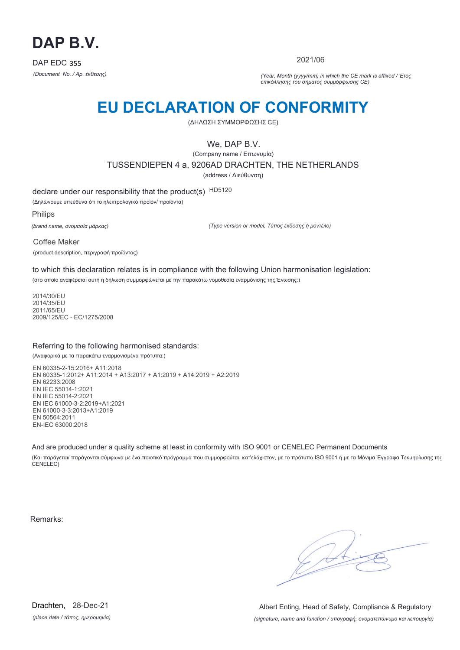

2021/06

*(Document No. / Αρ. έκθεσης) (Year, Month (yyyy/mm) in which the CE mark is affixed / Έτος επικόλλησης του σήματος συμμόρφωσης CE)*

# **EU DECLARATION OF CONFORMITY**

(ΔΗΛΩΣΗ ΣΥΜΜΟΡΦΩΣΗΣ CE)

We, DAP B.V.

(Company name / Επωνυμία) TUSSENDIEPEN 4 a, 9206AD DRACHTEN, THE NETHERLANDS (address / Διεύθυνση)

declare under our responsibility that the product(s) HD5120

(Δηλώνουμε υπεύθυνα ότι το ηλεκτρολογικό προϊόν/ προϊόντα)

Philips

*(brand name, ονομασία μάρκας)*

*(Type version or model, Τύπος έκδοσης ή μοντέλο)*

Coffee Maker (product description, περιγραφή προϊόντος)

to which this declaration relates is in compliance with the following Union harmonisation legislation:

(στο οποίο αναφέρεται αυτή η δήλωση συμμορφώνεται με την παρακάτω νομοθεσία εναρμόνισης της Ένωσης:)

2014/30/EU 2014/35/EU 2011/65/EU 2009/125/EC - EC/1275/2008

## Referring to the following harmonised standards:

(Αναφορικά με τα παρακάτω εναρμονισμένα πρότυπα:)

EN 60335-2-15:2016+ A11:2018 EN 60335-1:2012+ A11:2014 + A13:2017 + A1:2019 + A14:2019 + A2:2019 EN 62233:2008 EN IEC 55014-1:2021 EN IEC 55014-2:2021 EN IEC 61000-3-2:2019+A1:2021 EN 61000-3-3:2013+A1:2019 EN 50564:2011 EN-IEC 63000:2018

And are produced under a quality scheme at least in conformity with ISO 9001 or CENELEC Permanent Documents

(Και παράγεται/ παράγονται σύμφωνα με ένα ποιοτικό πρόγραμμα που συμμορφούται, κατ'ελάχιστον, με το πρότυπο ISO 9001 ή με τα Μόνιμα Έγγραφα Τεκμηρίωσης της CENELEC)

Remarks:

 $\sqrt{4}$ 

*(place,date / τόπος, ημερομηνία)* Drachten, 28-Dec-21

*(signature, name and function / υπογραφή, ονοματεπώνυμο και λειτουργία)* Albert Enting, Head of Safety, Compliance & Regulatory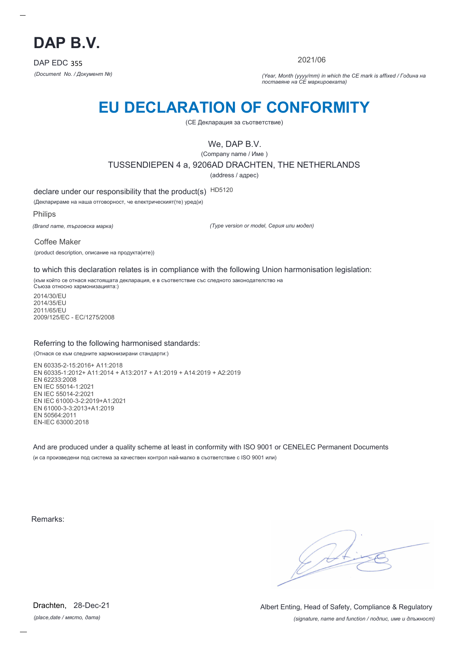

2021/06

*(Document No. / Документ №) (Year, Month (yyyy/mm) in which the CE mark is affixed / Година на поставяне на CE маркировката)*

# **EU DECLARATION OF CONFORMITY**

(CE Декларация за съответствие)

We, DAP B.V.

(Company name / Име )

TUSSENDIEPEN 4 a, 9206AD DRACHTEN, THE NETHERLANDS

(address / адрес)

declare under our responsibility that the product(s) HD5120

(Декларираме на наша отговорност, че електрическият(те) уред(и)

Philips

*(Brand name, търговска марка)*

*(Type version or model, Серия или модел)*

Coffee Maker

(product description, описание на продукта(ите))

to which this declaration relates is in compliance with the following Union harmonisation legislation:

(към който се отнася настоящата декларация, е в съответствие със следното законодателство на Съюза относно хармонизацията:)

2014/30/EU 2014/35/EU 2011/65/EU 2009/125/EC - EC/1275/2008

## Referring to the following harmonised standards:

(Отнася се към следните хармонизирани стандарти:)

EN 60335-2-15:2016+ A11:2018 EN 60335-1:2012+ A11:2014 + A13:2017 + A1:2019 + A14:2019 + A2:2019 EN 62233:2008 EN IEC 55014-1:2021 EN IEC 55014-2:2021 EN IEC 61000-3-2:2019+A1:2021 EN 61000-3-3:2013+A1:2019 EN 50564:2011 EN-IEC 63000:2018

And are produced under a quality scheme at least in conformity with ISO 9001 or CENELEC Permanent Documents (и са произведени под система за качествен контрол най-малко в съответствие с ISO 9001 или)

Remarks:

*(place,date / място, дата)* Drachten, 28-Dec-21

*(signature, name and function / подпис, име и длъжност)* Albert Enting, Head of Safety, Compliance & Regulatory